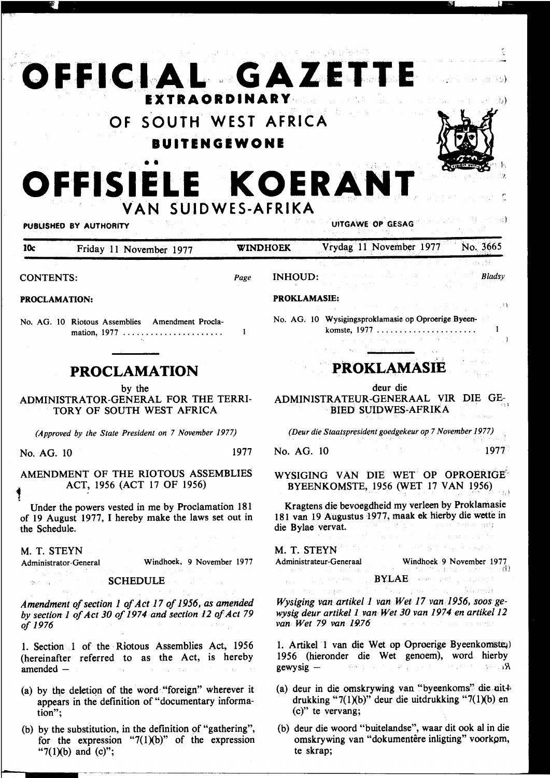## OFFICIAL GAZETTE **EXTRAORDINARY** 51 OF SOUTH WEST AFRICA **BUITENGEWONE** OFFISIELE KOERANT VAN SUIDWES-AFRIKA UITGAWE OP GESAG PUBLISHED BY AUTHORITY Vrydag 11 November 1977 No. 3665 10c Friday 11 November 1977 **WINDHOEK INHOUD:** Bladsy **CONTENTS:** Page **PROKLAMASIE:** PROCLAMATION:  $\ldots$  i) No. AG. 10 Wysigingsproklamasie op Oproerige Byeen-No. AG. 10 Riotous Assemblies Amendment Proclakomste, 1977  $\ldots \ldots \ldots \ldots \ldots \ldots$  $\mathbf{1}$ - i **PROKLAMASIE PROCLAMATION** deur die by the ADMINISTRATOR-GENERAL FOR THE TERRI-ADMINISTRATEUR-GENERAAL VIR DIE GE-**BIED SUIDWES-AFRIKA** TORY OF SOUTH WEST AFRICA (Approved by the State President on 7 November 1977) (Deur die Staatspresident goedgekeur op 7 November 1977) No. AG. 10  $-1977$ 1977 No. AG. 10 AMENDMENT OF THE RIOTOUS ASSEMBLIES WYSIGING VAN DIE WET OP OPROERIGE ACT, 1956 (ACT 17 OF 1956) BYEENKOMSTE, 1956 (WET 17 VAN 1956) Kragtens die bevoegdheid my verleen by Proklamasie Under the powers vested in me by Proclamation 181 181 van 19 Augustus 1977, maak ek hierby die wette in of 19 August 1977, I hereby make the laws set out in die Bylae vervat. the Schedule. the set of the consequence M. T. STEYN M. T. STEYN Administrateur-Generaal Windhoek 9 November 1977 Windhoek, 9 November 1977 Administrator-General ) and and and the complete specific stress of  $\mathbb{R}^{n \times n}$ **SCHEDULE** Wysiging van artikel 1 van Wet 17 van 1956, soos ge-Amendment of section 1 of Act 17 of 1956, as amended wysig deur artikel 1 van Wet 30 van 1974 en artikel 12 by section 1 of Act 30 of 1974 and section 12 of Act 79 van Wet 79 van 1976 seasonaí a sua ceistic agus programa of 1976 1. Artikel 1 van die Wet op Oproerige Byeenkomsteg) 1. Section 1 of the Riotous Assemblies Act, 1956 1956 (hieronder die Wet genoem), word hierby (hereinafter referred to as the Act, is hereby Rewysig - Albert Waller Communication of the Second Reserves of the Second Second Second Second Second Second Second Second Second Second Second Second Second Second Second Second Second Second Second Second Second Second  $amended -$ (a) deur in die omskrywing van "byeenkoms" die uit+ (a) by the deletion of the word "foreign" wherever it drukking "7 $(1)(b)$ " deur die uitdrukking "7 $(1)(b)$  en appears in the definition of "documentary informa- $(c)$ " te vervang: tion": (b) deur die woord "buitelandse", waar dit ook al in die (b) by the substitution, in the definition of "gathering", omskrywing van "dokumentêre inligting" voorkom, for the expression "7 $(1)(b)$ " of the expression

te skrap;

" $7(1)(b)$  and  $(c)$ ";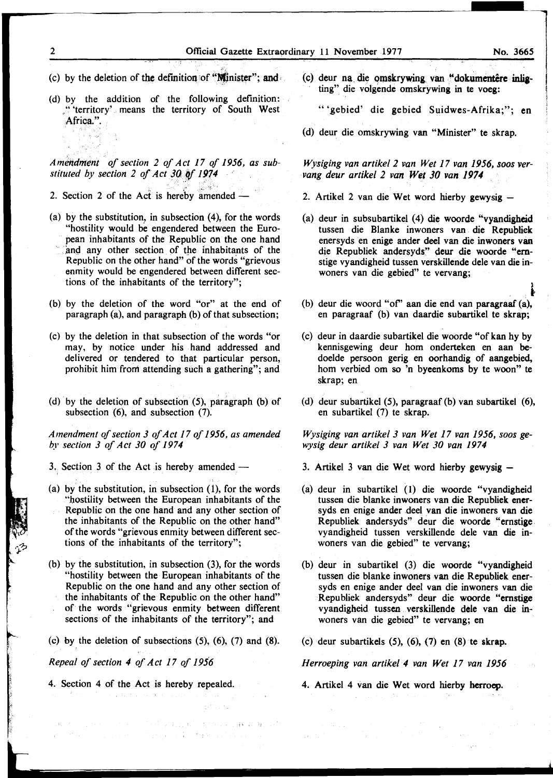- (c) by the deletion of the definition of "Ninister"; and
- (d) by the addition of the following definition: ,'''territory' means the territory of South West Africa.".

*Amendment of section 2 of Act 17 of 1956, as sub*stituted by section 2 of Act 30 of 1974

2. Section 2 of the Act is hereby amended  $-$ 

- (a) by the substitution, in subsection (4), for the words "hostility would be engendered between the European inhabitants of the Republic on the one hand and any other section of the inhabitants of the Republic on the other hand" of the words "grievous enmity would be engendered between different sections of the inhabitants of the territory";
- (b) by the deletion of the word "or" at the end of paragraph (a), and paragraph (b) of that subsection;
- (c) by the deletion in that subsection of the words "or may, by notice under his hand addressed and delivered or tendered to that particular person, prohibit him from attending such a gathering"; and
- (d) by the deletion of subsection  $(5)$ , paragraph  $(b)$  of subsection (6), and subsection (7).

*Amendment of section 3 of Act 17 of 1956, as amended by section 3 of Act 30 of 1974* 

3. Section 3 of the Act is hereby amended  $-$ 

- (a) by the substitution, in subsection (1), for the words "bostility between the European inhabitants of the Republic on the one hand and any other section of the inhabitants of the Republic on the other hand" of the words "grievous enmity between different sections of the inhabitants of the territory";
- (b) by the substitution, in subsection (3), for the words "hostility between the European inhabitants of the Republic on the one hand and any other section of the inhabitants of the Republic on the other hand" of the words "grievous enmity between different sections of the inhabitants of the territory"; and
- $(c)$  by the deletion of subsections  $(5)$ ,  $(6)$ ,  $(7)$  and  $(8)$ .

ata mengang mengangkan pertama ketapangan di dijatan keladaran dan aktif.<br>Keladaan penganjang mengangkan di dinamatan pada tahun 1990.

*Repeal of section 4 of Act 17 of 1956* 

t

4. Section 4 of the Act is hereby repealed. and the most of the company

(c) deur na die omskrywing van "dokumentêre inligting" die volgende omskrywing in te voeg:

"'gebied' die gebied Suidwes-Afrika;"; en

(d) deur die omskrywing van "Minister" te skrap.

*Wysiging van artikel 2 van Wet 17 van 1956, soos vervang deur artikel 2 van Wet 30 van 1974* 

- 2. Artikel 2 van die Wet word hierby gewysig -
- (a) deur in subsubartikel (4) die woorde "vyandigheid tussen die Blanke inwoners van die Republiek enersyds en enige ander deel van die inwoners van die Republiek andersyds" deur die woorde "emstige vyandigheid tussen verskillende dele van die inwoners van die gebied" te vervang;
- (b) deur die woord "of' aan die end van paragraaf (a), en paragraaf (b) van daardie subartikel te skrap;
- (c) deur in daardie subartikel die woorde "of kan hy by kennisgewing deur hom onderteken en aan bedoelde persoon gerig en oorhandig of aangebied, hom verbied om so 'n byeenkoms by te woon" te skrap; en
- (d) deur subartikel (5), paragraaf (b) van subartikel (6), en subartikel (7) te skrap.

*Wysiging van artikel 3 van Wet 17 van 1956, soos gewysig deur artikel 3 van Wet 30 van 1974* 

- 3. Artikel 3 van die Wet word hierby gewysig -
- (a) deur in subartikel (1) die woorde "vyandigheid tussen die blanke inwoners van die Republiek enersyds en enige ander deel van die inwoners van die Republiek andersyds" deur die woorde "ernstige vyandigheid tussen verskillende dele van die inwoners van die gebied" te vervang;
- (b) deur in subartikel (3) die woorde "vyandigheid tussen die blanke inwoners van die Republiek enersyds en enige ander deel van die inwoners van die Republiek andersyds" deur die woorde "emstige vyandigheid tussen verskillende dele van die inwooers van die gebied" te vervang; en
- (c) deur subartikels  $(5)$ ,  $(6)$ ,  $(7)$  en  $(8)$  te skrap.

*Herroeping van artike/4 van Wet 17 van 1956* 

4. Artikel 4 van die Wet word hierby herrocp.

 $\mathcal{O}_{\mathbb{R}^2}$ 

 $\sim 10^{10}$  M  $_\odot$  M  $_\odot$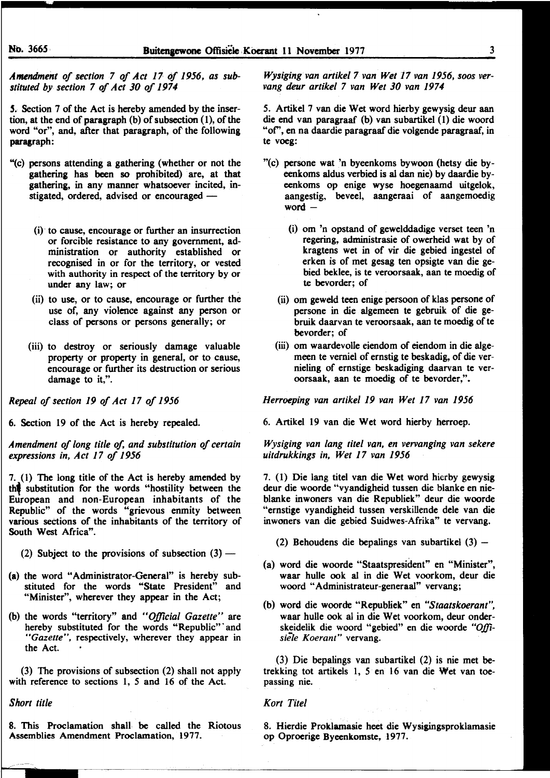*Amendment of section 7 of Act 17 of 1956, as sub*stituted by section 7 of Act 30 of 1974

5. Section 7 of the Act is hereby amended by the insertion, at the end of paragraph (b) of subsection (1), of the word "or", and, after that paragraph, of the following paragraph:

- "(c) persons attending a gathering (whether or not the gathering has been so prohibited) are, at that gathering, in any manner whatsoever incited, instigated, ordered, advised or encouraged  $-$ 
	- (i) · to cause, encourage or further an insurrection or forcible resistance to any government, administration or authority established or recognised in or for the territory, or vested with authority in respect of the territory by or under any law; or
	- (ii) to use, or to cause, encourage or further the use of, any violence against any person or class of persons or persons generally; or
	- (iii) to destroy or seriously damage valuable property or property in general, or to cause, encourage or further its destruction or serious damage to it,".

*Repeal of section 19 of Act 17 of 1956* 

6. Section 19 of the Act is hereby repealed.

*Amendment of long title of, and substitution of certain expressions in, Act 17 of 1956* 

7. (1) The long title of the Act is hereby amended by the substitution for the words "hostility between the European and non-European inhabitants of the Republic" of the words "grievous enmity between various sections of the inhabitants of the territory of South West Africa".

- (2) Subject to the provisions of subsection  $(3)$  —
- (a) the word "Administrator-General" is hereby substituted for the words "State President" and "Minister", wherever they appear in the Act;
- (b) the words "territory" and *"Official Gazette"* are hereby substituted for the words "Republic" and *"Gazelle",* respectively, wherever they appear in the Act.

(3) The provisions of subsection (2) shall not apply with reference to sections 1, *5* and 16 of the Act.

*Short title* 

8. This Proclamation shall be called the Riotous Assemblies Amendment Proclamation, 1977.

*Wysiging van artike/7 van Wet 17 van 1956, soos vervang deur artikel 7 van Wet 30 van 1974* 

5. Artikel 7 van die Wet word hierby gewysig deur aan die end van paragraaf (b) van subartikel (1) die woord "of", en na daardie paragraaf die volgende paragraaf, in te voeg:

- "(c) persone wat 'n byeenkoms bywoon (betsy die byeenkoms aldus verbied is ai dan nie) by daardie byeenkoms op enige wyse hoegenaamd uitgelok, aangestig, beveel, aangeraai of aangemoedig word $-$ 
	- (i) om 'n opstand of gewelddadige verset teen 'n regering, administrasie of owerheid wat by of kragtens wet in of vir die gebied ingestel of erken is of met gesag ten opsigte van die gebied beklee, is te veroorsaak, aan te moedig of te bevorder; of
	- (ii) om geweld teen enige persoon of klas persone of persone in die algemeen te gebruik of die gebruik daarvan te veroorsaak, aan te moedig of te bevorder; of
	- (iii) om waardevolle eiendom of eiendom in die algemeen te vemiel of ernstig te beskadig, of die vernieling of ernstige beskadiging daarvan te veroorsaak, aan te moedig of te bevorder,".

*He"oeping van artikel 19 van Wet 17 van 1956* 

6. Artikel 19 van die Wet word hierby herroep.

*Wysiging van lang titel van, en vervanging van sekere uitdrukkings in, Wet 17 van 1956* 

7. (1) Die lang titel van die Wet word hierby gewysig deur die woorde "vyandigheid tussen die blanke en nieblanke inwoners van die Republiek" deur die woorde "ernstige vyandigheid tussen verskillende dele van die inwoners van die gebied Suidwes-Afrika" te vervang.

- (2) Behoudens die bepalings van subartikel  $(3)$  -
- (a) word die woorde "Staatspresident" en "Minister", waar bulle ook ai in die Wet voorkom, deur die woord "Administrateur-generaal" vervang;
- (b) word die woorde "Republiek" en *"Staatskoerant",*  waar bulle ook al in die Wet voorkom, deur onderskeidelik die woord "gebied" en die woorde *"Offisiele Koerant"* vervang.

(3) Die bepalings van subartikel (2) is nie met betrekking tot artikels 1, *5* en 16 van die Wet van toepassing nie.

## *Kort Titel*

8. Hierdie Proklamasie beet die Wysigingsproklamasie op Oproerige Byeenkomste, 1977.